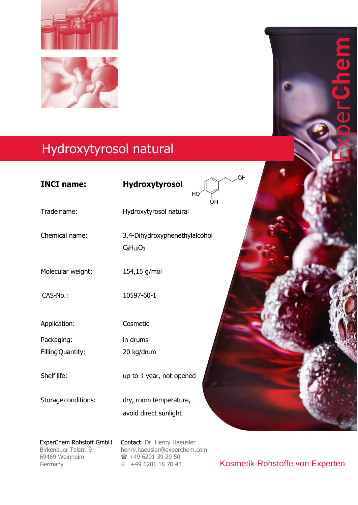

## Hydroxytyrosol natural

| <b>INCI name:</b>   | OH<br>Hydroxytyrosol<br>HO<br>ÒН                |  |
|---------------------|-------------------------------------------------|--|
| Trade name:         | Hydroxytyrosol natural                          |  |
| Chemical name:      | 3,4-Dihydroxyphenethylalcohol<br>$C_8H_{10}O_3$ |  |
| Molecular weight:   | 154,15 g/mol                                    |  |
| CAS-No.:            | 10597-60-1                                      |  |
| Application:        | Cosmetic                                        |  |
| Packaging:          | in drums                                        |  |
| Filling Quantity:   | 20 kg/drum                                      |  |
| Shelf life:         | up to 1 year, not opened                        |  |
| Storage conditions: | dry, room temperature,<br>avoid direct sunlight |  |
|                     |                                                 |  |

Birkenauer Talstr. 9 69469 Weinheim 69469 Weinheim Germany Germany

ExperChem Rohstoff GmbH Contact: Dr. Henry Haeusler henry.haeusler@experchem.com [henry.haeusler@experchem.com](mailto:henry.haeusler@experchem.com)  $\hat{=}$  +49 6201 39 29 50 ■ +49 6201 18 70 43

Kosmetik-Rohstoffe von Experten

 $\overline{\textbf{d}}$